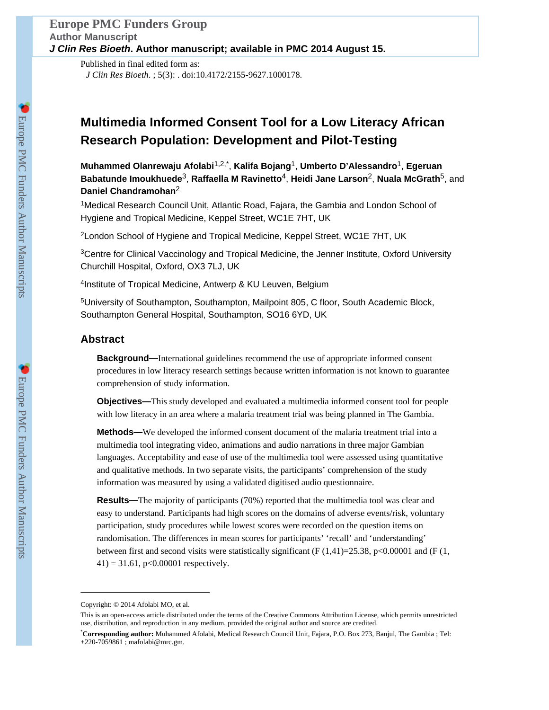Published in final edited form as: *J Clin Res Bioeth*. ; 5(3): . doi:10.4172/2155-9627.1000178.

# **Multimedia Informed Consent Tool for a Low Literacy African Research Population: Development and Pilot-Testing**

**Muhammed Olanrewaju Afolabi**1,2,\* , **Kalifa Bojang**1, **Umberto D'Alessandro**1, **Egeruan Babatunde Imoukhuede**3, **Raffaella M Ravinetto**4, **Heidi Jane Larson**2, **Nuala McGrath**5, and **Daniel Chandramohan**<sup>2</sup>

<sup>1</sup>Medical Research Council Unit, Atlantic Road, Fajara, the Gambia and London School of Hygiene and Tropical Medicine, Keppel Street, WC1E 7HT, UK

<sup>2</sup>London School of Hygiene and Tropical Medicine, Keppel Street, WC1E 7HT, UK

<sup>3</sup>Centre for Clinical Vaccinology and Tropical Medicine, the Jenner Institute, Oxford University Churchill Hospital, Oxford, OX3 7LJ, UK

4 Institute of Tropical Medicine, Antwerp & KU Leuven, Belgium

<sup>5</sup>University of Southampton, Southampton, Mailpoint 805, C floor, South Academic Block, Southampton General Hospital, Southampton, SO16 6YD, UK

### **Abstract**

**Background—**International guidelines recommend the use of appropriate informed consent procedures in low literacy research settings because written information is not known to guarantee comprehension of study information.

**Objectives—**This study developed and evaluated a multimedia informed consent tool for people with low literacy in an area where a malaria treatment trial was being planned in The Gambia.

**Methods—**We developed the informed consent document of the malaria treatment trial into a multimedia tool integrating video, animations and audio narrations in three major Gambian languages. Acceptability and ease of use of the multimedia tool were assessed using quantitative and qualitative methods. In two separate visits, the participants' comprehension of the study information was measured by using a validated digitised audio questionnaire.

**Results—**The majority of participants (70%) reported that the multimedia tool was clear and easy to understand. Participants had high scores on the domains of adverse events/risk, voluntary participation, study procedures while lowest scores were recorded on the question items on randomisation. The differences in mean scores for participants' 'recall' and 'understanding' between first and second visits were statistically significant (F  $(1,41) = 25.38$ , p<0.00001 and (F  $(1, 1)$ )  $41$ ) = 31.61, p<0.00001 respectively.

Copyright: © 2014 Afolabi MO, et al.

This is an open-access article distributed under the terms of the Creative Commons Attribution License, which permits unrestricted use, distribution, and reproduction in any medium, provided the original author and source are credited.

<sup>\*</sup>**Corresponding author:** Muhammed Afolabi, Medical Research Council Unit, Fajara, P.O. Box 273, Banjul, The Gambia ; Tel: +220-7059861 ; mafolabi@mrc.gm.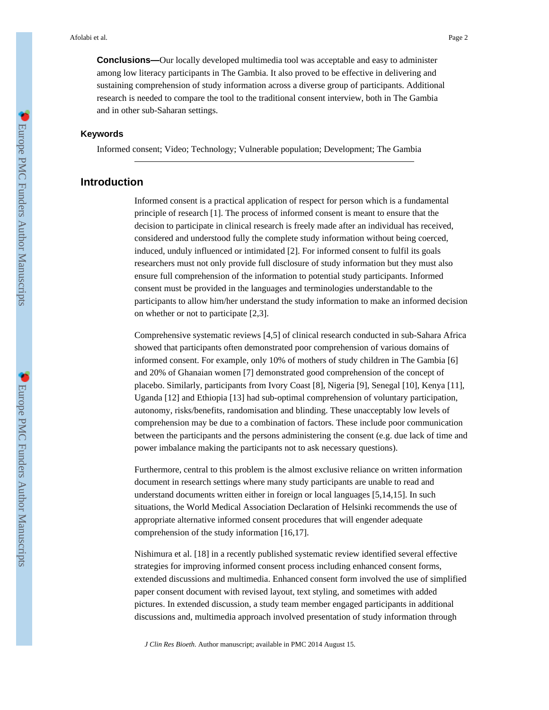**Conclusions—**Our locally developed multimedia tool was acceptable and easy to administer among low literacy participants in The Gambia. It also proved to be effective in delivering and sustaining comprehension of study information across a diverse group of participants. Additional research is needed to compare the tool to the traditional consent interview, both in The Gambia and in other sub-Saharan settings.

#### **Keywords**

Informed consent; Video; Technology; Vulnerable population; Development; The Gambia

# **Introduction**

Informed consent is a practical application of respect for person which is a fundamental principle of research [1]. The process of informed consent is meant to ensure that the decision to participate in clinical research is freely made after an individual has received, considered and understood fully the complete study information without being coerced, induced, unduly influenced or intimidated [2]. For informed consent to fulfil its goals researchers must not only provide full disclosure of study information but they must also ensure full comprehension of the information to potential study participants. Informed consent must be provided in the languages and terminologies understandable to the participants to allow him/her understand the study information to make an informed decision on whether or not to participate [2,3].

Comprehensive systematic reviews [4,5] of clinical research conducted in sub-Sahara Africa showed that participants often demonstrated poor comprehension of various domains of informed consent. For example, only 10% of mothers of study children in The Gambia [6] and 20% of Ghanaian women [7] demonstrated good comprehension of the concept of placebo. Similarly, participants from Ivory Coast [8], Nigeria [9], Senegal [10], Kenya [11], Uganda [12] and Ethiopia [13] had sub-optimal comprehension of voluntary participation, autonomy, risks/benefits, randomisation and blinding. These unacceptably low levels of comprehension may be due to a combination of factors. These include poor communication between the participants and the persons administering the consent (e.g. due lack of time and power imbalance making the participants not to ask necessary questions).

Furthermore, central to this problem is the almost exclusive reliance on written information document in research settings where many study participants are unable to read and understand documents written either in foreign or local languages [5,14,15]. In such situations, the World Medical Association Declaration of Helsinki recommends the use of appropriate alternative informed consent procedures that will engender adequate comprehension of the study information [16,17].

Nishimura et al. [18] in a recently published systematic review identified several effective strategies for improving informed consent process including enhanced consent forms, extended discussions and multimedia. Enhanced consent form involved the use of simplified paper consent document with revised layout, text styling, and sometimes with added pictures. In extended discussion, a study team member engaged participants in additional discussions and, multimedia approach involved presentation of study information through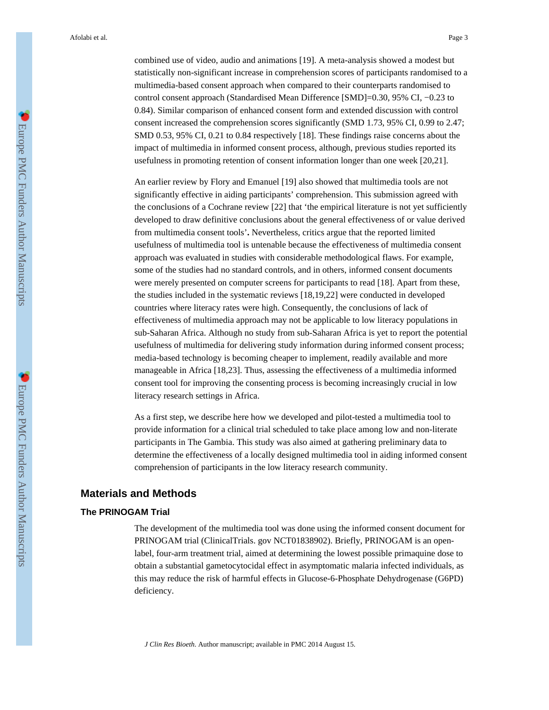Afolabi et al. Page 3

combined use of video, audio and animations [19]. A meta-analysis showed a modest but statistically non-significant increase in comprehension scores of participants randomised to a multimedia-based consent approach when compared to their counterparts randomised to control consent approach (Standardised Mean Difference [SMD]=0.30, 95% CI, −0.23 to 0.84). Similar comparison of enhanced consent form and extended discussion with control consent increased the comprehension scores significantly (SMD 1.73, 95% CI, 0.99 to 2.47; SMD 0.53, 95% CI, 0.21 to 0.84 respectively [18]. These findings raise concerns about the impact of multimedia in informed consent process, although, previous studies reported its usefulness in promoting retention of consent information longer than one week [20,21].

An earlier review by Flory and Emanuel [19] also showed that multimedia tools are not significantly effective in aiding participants' comprehension. This submission agreed with the conclusions of a Cochrane review [22] that 'the empirical literature is not yet sufficiently developed to draw definitive conclusions about the general effectiveness of or value derived from multimedia consent tools'**.** Nevertheless, critics argue that the reported limited usefulness of multimedia tool is untenable because the effectiveness of multimedia consent approach was evaluated in studies with considerable methodological flaws. For example, some of the studies had no standard controls, and in others, informed consent documents were merely presented on computer screens for participants to read [18]. Apart from these, the studies included in the systematic reviews [18,19,22] were conducted in developed countries where literacy rates were high. Consequently, the conclusions of lack of effectiveness of multimedia approach may not be applicable to low literacy populations in sub-Saharan Africa. Although no study from sub-Saharan Africa is yet to report the potential usefulness of multimedia for delivering study information during informed consent process; media-based technology is becoming cheaper to implement, readily available and more manageable in Africa [18,23]. Thus, assessing the effectiveness of a multimedia informed consent tool for improving the consenting process is becoming increasingly crucial in low literacy research settings in Africa.

As a first step, we describe here how we developed and pilot-tested a multimedia tool to provide information for a clinical trial scheduled to take place among low and non-literate participants in The Gambia. This study was also aimed at gathering preliminary data to determine the effectiveness of a locally designed multimedia tool in aiding informed consent comprehension of participants in the low literacy research community.

# **Materials and Methods**

#### **The PRINOGAM Trial**

The development of the multimedia tool was done using the informed consent document for PRINOGAM trial (ClinicalTrials. gov NCT01838902). Briefly, PRINOGAM is an openlabel, four-arm treatment trial, aimed at determining the lowest possible primaquine dose to obtain a substantial gametocytocidal effect in asymptomatic malaria infected individuals, as this may reduce the risk of harmful effects in Glucose-6-Phosphate Dehydrogenase (G6PD) deficiency.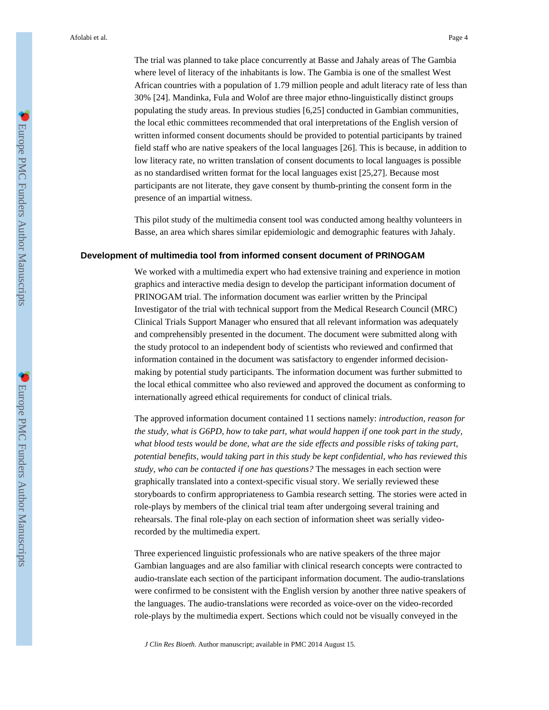The trial was planned to take place concurrently at Basse and Jahaly areas of The Gambia where level of literacy of the inhabitants is low. The Gambia is one of the smallest West African countries with a population of 1.79 million people and adult literacy rate of less than 30% [24]. Mandinka, Fula and Wolof are three major ethno-linguistically distinct groups populating the study areas. In previous studies [6,25] conducted in Gambian communities, the local ethic committees recommended that oral interpretations of the English version of written informed consent documents should be provided to potential participants by trained field staff who are native speakers of the local languages [26]. This is because, in addition to low literacy rate, no written translation of consent documents to local languages is possible as no standardised written format for the local languages exist [25,27]. Because most participants are not literate, they gave consent by thumb-printing the consent form in the presence of an impartial witness.

This pilot study of the multimedia consent tool was conducted among healthy volunteers in Basse, an area which shares similar epidemiologic and demographic features with Jahaly.

#### **Development of multimedia tool from informed consent document of PRINOGAM**

We worked with a multimedia expert who had extensive training and experience in motion graphics and interactive media design to develop the participant information document of PRINOGAM trial. The information document was earlier written by the Principal Investigator of the trial with technical support from the Medical Research Council (MRC) Clinical Trials Support Manager who ensured that all relevant information was adequately and comprehensibly presented in the document. The document were submitted along with the study protocol to an independent body of scientists who reviewed and confirmed that information contained in the document was satisfactory to engender informed decisionmaking by potential study participants. The information document was further submitted to the local ethical committee who also reviewed and approved the document as conforming to internationally agreed ethical requirements for conduct of clinical trials.

The approved information document contained 11 sections namely: *introduction, reason for the study, what is G6PD, how to take part, what would happen if one took part in the study, what blood tests would be done, what are the side effects and possible risks of taking part, potential benefits, would taking part in this study be kept confidential, who has reviewed this study, who can be contacted if one has questions?* The messages in each section were graphically translated into a context-specific visual story. We serially reviewed these storyboards to confirm appropriateness to Gambia research setting. The stories were acted in role-plays by members of the clinical trial team after undergoing several training and rehearsals. The final role-play on each section of information sheet was serially videorecorded by the multimedia expert.

Three experienced linguistic professionals who are native speakers of the three major Gambian languages and are also familiar with clinical research concepts were contracted to audio-translate each section of the participant information document. The audio-translations were confirmed to be consistent with the English version by another three native speakers of the languages. The audio-translations were recorded as voice-over on the video-recorded role-plays by the multimedia expert. Sections which could not be visually conveyed in the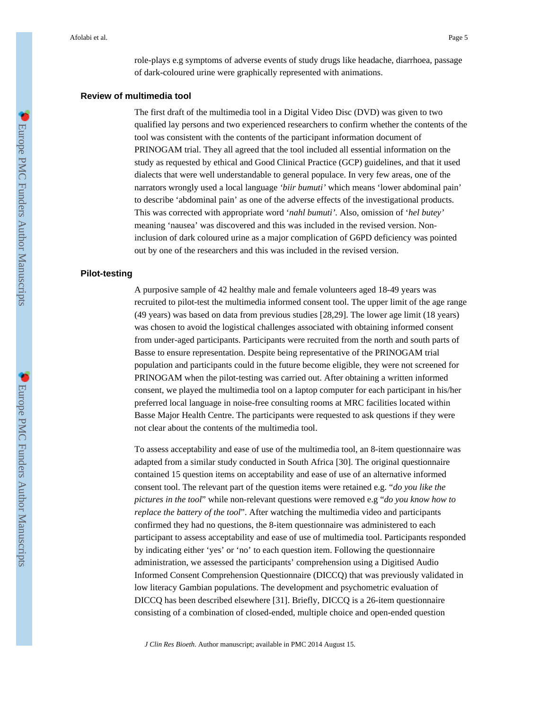role-plays e.g symptoms of adverse events of study drugs like headache, diarrhoea, passage of dark-coloured urine were graphically represented with animations.

#### **Review of multimedia tool**

The first draft of the multimedia tool in a Digital Video Disc (DVD) was given to two qualified lay persons and two experienced researchers to confirm whether the contents of the tool was consistent with the contents of the participant information document of PRINOGAM trial. They all agreed that the tool included all essential information on the study as requested by ethical and Good Clinical Practice (GCP) guidelines, and that it used dialects that were well understandable to general populace. In very few areas, one of the narrators wrongly used a local language *'biir bumuti'* which means 'lower abdominal pain' to describe 'abdominal pain' as one of the adverse effects of the investigational products. This was corrected with appropriate word '*nahl bumuti'.* Also, omission of '*hel butey'* meaning 'nausea' was discovered and this was included in the revised version. Noninclusion of dark coloured urine as a major complication of G6PD deficiency was pointed out by one of the researchers and this was included in the revised version.

#### **Pilot-testing**

A purposive sample of 42 healthy male and female volunteers aged 18-49 years was recruited to pilot-test the multimedia informed consent tool. The upper limit of the age range (49 years) was based on data from previous studies [28,29]. The lower age limit (18 years) was chosen to avoid the logistical challenges associated with obtaining informed consent from under-aged participants. Participants were recruited from the north and south parts of Basse to ensure representation. Despite being representative of the PRINOGAM trial population and participants could in the future become eligible, they were not screened for PRINOGAM when the pilot-testing was carried out. After obtaining a written informed consent, we played the multimedia tool on a laptop computer for each participant in his/her preferred local language in noise-free consulting rooms at MRC facilities located within Basse Major Health Centre. The participants were requested to ask questions if they were not clear about the contents of the multimedia tool.

To assess acceptability and ease of use of the multimedia tool, an 8-item questionnaire was adapted from a similar study conducted in South Africa [30]. The original questionnaire contained 15 question items on acceptability and ease of use of an alternative informed consent tool. The relevant part of the question items were retained e.g. "*do you like the pictures in the tool*" while non-relevant questions were removed e.g "*do you know how to replace the battery of the tool*". After watching the multimedia video and participants confirmed they had no questions, the 8-item questionnaire was administered to each participant to assess acceptability and ease of use of multimedia tool. Participants responded by indicating either 'yes' or 'no' to each question item. Following the questionnaire administration, we assessed the participants' comprehension using a Digitised Audio Informed Consent Comprehension Questionnaire (DICCQ) that was previously validated in low literacy Gambian populations. The development and psychometric evaluation of DICCQ has been described elsewhere [31]. Briefly, DICCQ is a 26-item questionnaire consisting of a combination of closed-ended, multiple choice and open-ended question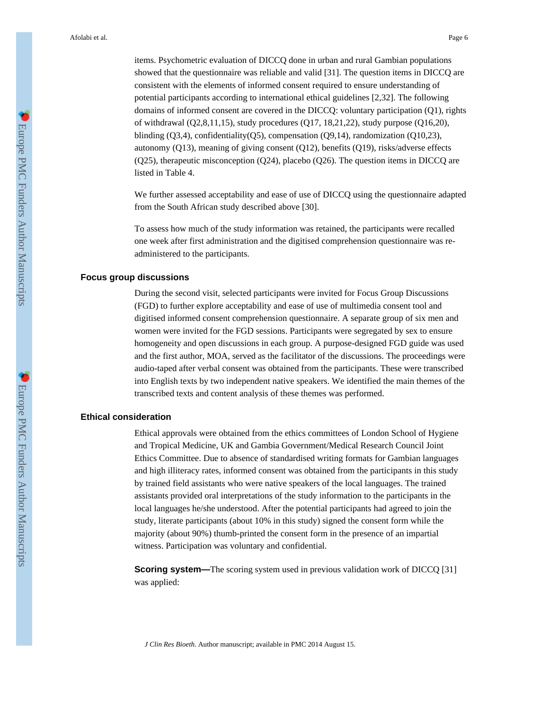items. Psychometric evaluation of DICCQ done in urban and rural Gambian populations showed that the questionnaire was reliable and valid [31]. The question items in DICCQ are consistent with the elements of informed consent required to ensure understanding of potential participants according to international ethical guidelines [2,32]. The following domains of informed consent are covered in the DICCQ: voluntary participation (Q1), rights of withdrawal (Q2,8,11,15), study procedures (Q17, 18,21,22), study purpose (Q16,20), blinding  $(Q3,4)$ , confidentiality $(Q5)$ , compensation  $(Q9,14)$ , randomization  $(Q10,23)$ , autonomy (Q13), meaning of giving consent (Q12), benefits (Q19), risks/adverse effects (Q25), therapeutic misconception (Q24), placebo (Q26). The question items in DICCQ are listed in Table 4.

We further assessed acceptability and ease of use of DICCQ using the questionnaire adapted from the South African study described above [30].

To assess how much of the study information was retained, the participants were recalled one week after first administration and the digitised comprehension questionnaire was readministered to the participants.

#### **Focus group discussions**

During the second visit, selected participants were invited for Focus Group Discussions (FGD) to further explore acceptability and ease of use of multimedia consent tool and digitised informed consent comprehension questionnaire. A separate group of six men and women were invited for the FGD sessions. Participants were segregated by sex to ensure homogeneity and open discussions in each group. A purpose-designed FGD guide was used and the first author, MOA, served as the facilitator of the discussions. The proceedings were audio-taped after verbal consent was obtained from the participants. These were transcribed into English texts by two independent native speakers. We identified the main themes of the transcribed texts and content analysis of these themes was performed.

#### **Ethical consideration**

Ethical approvals were obtained from the ethics committees of London School of Hygiene and Tropical Medicine, UK and Gambia Government/Medical Research Council Joint Ethics Committee. Due to absence of standardised writing formats for Gambian languages and high illiteracy rates, informed consent was obtained from the participants in this study by trained field assistants who were native speakers of the local languages. The trained assistants provided oral interpretations of the study information to the participants in the local languages he/she understood. After the potential participants had agreed to join the study, literate participants (about 10% in this study) signed the consent form while the majority (about 90%) thumb-printed the consent form in the presence of an impartial witness. Participation was voluntary and confidential.

**Scoring system—**The scoring system used in previous validation work of DICCQ [31] was applied: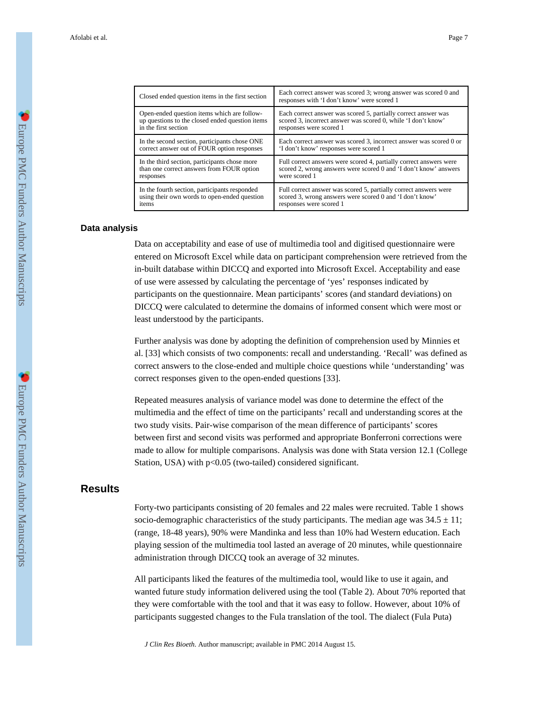| Closed ended question items in the first section | Each correct answer was scored 3; wrong answer was scored 0 and<br>responses with 'I don't know' were scored 1 |
|--------------------------------------------------|----------------------------------------------------------------------------------------------------------------|
| Open-ended question items which are follow-      | Each correct answer was scored 5, partially correct answer was                                                 |
| up questions to the closed ended question items  | scored 3, incorrect answer was scored 0, while 'I don't know'                                                  |
| in the first section                             | responses were scored 1                                                                                        |
| In the second section, participants chose ONE    | Each correct answer was scored 3, incorrect answer was scored 0 or                                             |
| correct answer out of FOUR option responses      | 'I don't know' responses were scored 1                                                                         |
| In the third section, participants chose more    | Full correct answers were scored 4, partially correct answers were                                             |
| than one correct answers from FOUR option        | scored 2, wrong answers were scored 0 and 'I don't know' answers                                               |
| responses                                        | were scored 1                                                                                                  |
| In the fourth section, participants responded    | Full correct answer was scored 5, partially correct answers were                                               |
| using their own words to open-ended question     | scored 3, wrong answers were scored 0 and 'I don't know'                                                       |
| items                                            | responses were scored 1                                                                                        |

#### **Data analysis**

Data on acceptability and ease of use of multimedia tool and digitised questionnaire were entered on Microsoft Excel while data on participant comprehension were retrieved from the in-built database within DICCQ and exported into Microsoft Excel. Acceptability and ease of use were assessed by calculating the percentage of 'yes' responses indicated by participants on the questionnaire. Mean participants' scores (and standard deviations) on DICCQ were calculated to determine the domains of informed consent which were most or least understood by the participants.

Further analysis was done by adopting the definition of comprehension used by Minnies et al. [33] which consists of two components: recall and understanding. 'Recall' was defined as correct answers to the close-ended and multiple choice questions while 'understanding' was correct responses given to the open-ended questions [33].

Repeated measures analysis of variance model was done to determine the effect of the multimedia and the effect of time on the participants' recall and understanding scores at the two study visits. Pair-wise comparison of the mean difference of participants' scores between first and second visits was performed and appropriate Bonferroni corrections were made to allow for multiple comparisons. Analysis was done with Stata version 12.1 (College Station, USA) with p<0.05 (two-tailed) considered significant.

### **Results**

Forty-two participants consisting of 20 females and 22 males were recruited. Table 1 shows socio-demographic characteristics of the study participants. The median age was  $34.5 \pm 11$ ; (range, 18-48 years), 90% were Mandinka and less than 10% had Western education. Each playing session of the multimedia tool lasted an average of 20 minutes, while questionnaire administration through DICCQ took an average of 32 minutes.

All participants liked the features of the multimedia tool, would like to use it again, and wanted future study information delivered using the tool (Table 2). About 70% reported that they were comfortable with the tool and that it was easy to follow. However, about 10% of participants suggested changes to the Fula translation of the tool. The dialect (Fula Puta)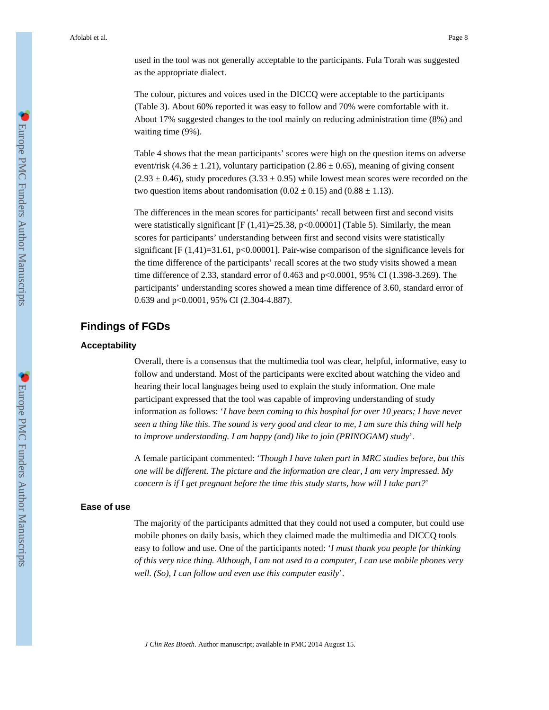Afolabi et al. Page 8

used in the tool was not generally acceptable to the participants. Fula Torah was suggested as the appropriate dialect.

The colour, pictures and voices used in the DICCQ were acceptable to the participants (Table 3). About 60% reported it was easy to follow and 70% were comfortable with it. About 17% suggested changes to the tool mainly on reducing administration time (8%) and waiting time (9%).

Table 4 shows that the mean participants' scores were high on the question items on adverse event/risk (4.36  $\pm$  1.21), voluntary participation (2.86  $\pm$  0.65), meaning of giving consent  $(2.93 \pm 0.46)$ , study procedures  $(3.33 \pm 0.95)$  while lowest mean scores were recorded on the two question items about randomisation  $(0.02 \pm 0.15)$  and  $(0.88 \pm 1.13)$ .

The differences in the mean scores for participants' recall between first and second visits were statistically significant  $[F(1,41)=25.38, p<0.00001]$  (Table 5). Similarly, the mean scores for participants' understanding between first and second visits were statistically significant  $[F(1,41)=31.61, p<0.00001]$ . Pair-wise comparison of the significance levels for the time difference of the participants' recall scores at the two study visits showed a mean time difference of 2.33, standard error of 0.463 and p<0.0001, 95% CI (1.398-3.269). The participants' understanding scores showed a mean time difference of 3.60, standard error of 0.639 and p<0.0001, 95% CI (2.304-4.887).

### **Findings of FGDs**

#### **Acceptability**

Overall, there is a consensus that the multimedia tool was clear, helpful, informative, easy to follow and understand. Most of the participants were excited about watching the video and hearing their local languages being used to explain the study information. One male participant expressed that the tool was capable of improving understanding of study information as follows: '*I have been coming to this hospital for over 10 years; I have never seen a thing like this. The sound is very good and clear to me, I am sure this thing will help to improve understanding. I am happy (and) like to join (PRINOGAM) study*'.

A female participant commented: '*Though I have taken part in MRC studies before, but this one will be different. The picture and the information are clear, I am very impressed. My concern is if I get pregnant before the time this study starts, how will I take part?*'

#### **Ease of use**

The majority of the participants admitted that they could not used a computer, but could use mobile phones on daily basis, which they claimed made the multimedia and DICCQ tools easy to follow and use. One of the participants noted: '*I must thank you people for thinking of this very nice thing. Although, I am not used to a computer, I can use mobile phones very well. (So), I can follow and even use this computer easily*'.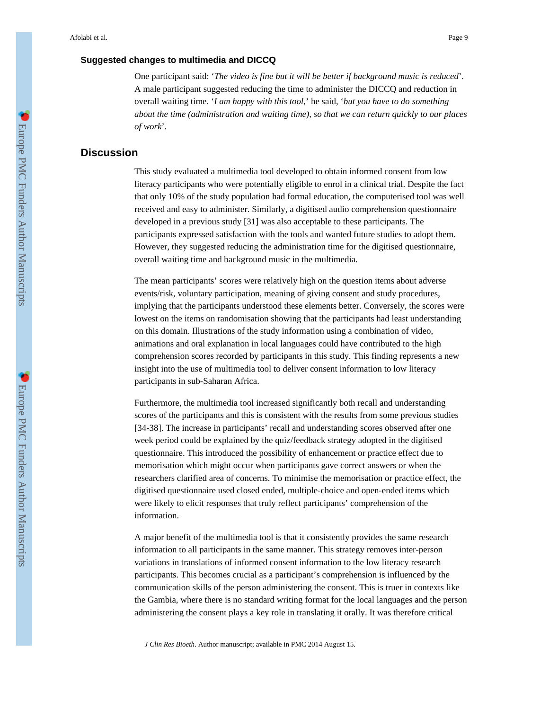### **Suggested changes to multimedia and DICCQ**

One participant said: '*The video is fine but it will be better if background music is reduced*'. A male participant suggested reducing the time to administer the DICCQ and reduction in overall waiting time. '*I am happy with this tool,*' he said, '*but you have to do something about the time (administration and waiting time), so that we can return quickly to our places of work*'.

# **Discussion**

This study evaluated a multimedia tool developed to obtain informed consent from low literacy participants who were potentially eligible to enrol in a clinical trial. Despite the fact that only 10% of the study population had formal education, the computerised tool was well received and easy to administer. Similarly, a digitised audio comprehension questionnaire developed in a previous study [31] was also acceptable to these participants. The participants expressed satisfaction with the tools and wanted future studies to adopt them. However, they suggested reducing the administration time for the digitised questionnaire, overall waiting time and background music in the multimedia.

The mean participants' scores were relatively high on the question items about adverse events/risk, voluntary participation, meaning of giving consent and study procedures, implying that the participants understood these elements better. Conversely, the scores were lowest on the items on randomisation showing that the participants had least understanding on this domain. Illustrations of the study information using a combination of video, animations and oral explanation in local languages could have contributed to the high comprehension scores recorded by participants in this study. This finding represents a new insight into the use of multimedia tool to deliver consent information to low literacy participants in sub-Saharan Africa.

Furthermore, the multimedia tool increased significantly both recall and understanding scores of the participants and this is consistent with the results from some previous studies [34-38]. The increase in participants' recall and understanding scores observed after one week period could be explained by the quiz/feedback strategy adopted in the digitised questionnaire. This introduced the possibility of enhancement or practice effect due to memorisation which might occur when participants gave correct answers or when the researchers clarified area of concerns. To minimise the memorisation or practice effect, the digitised questionnaire used closed ended, multiple-choice and open-ended items which were likely to elicit responses that truly reflect participants' comprehension of the information.

A major benefit of the multimedia tool is that it consistently provides the same research information to all participants in the same manner. This strategy removes inter-person variations in translations of informed consent information to the low literacy research participants. This becomes crucial as a participant's comprehension is influenced by the communication skills of the person administering the consent. This is truer in contexts like the Gambia, where there is no standard writing format for the local languages and the person administering the consent plays a key role in translating it orally. It was therefore critical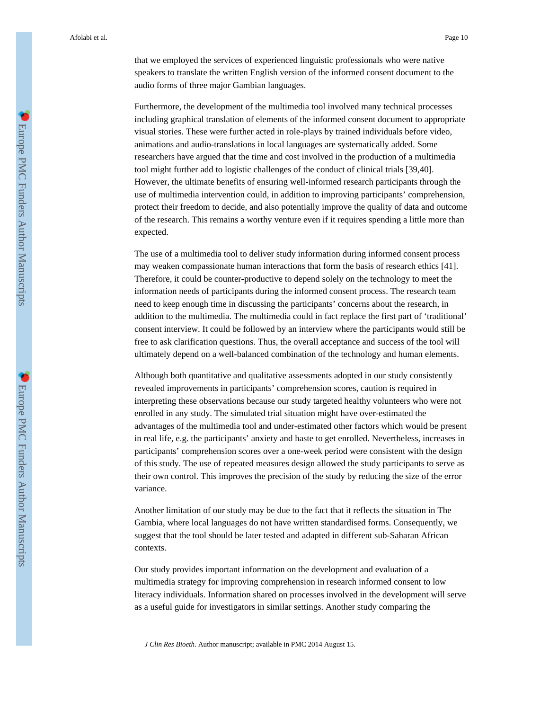that we employed the services of experienced linguistic professionals who were native speakers to translate the written English version of the informed consent document to the audio forms of three major Gambian languages.

Furthermore, the development of the multimedia tool involved many technical processes including graphical translation of elements of the informed consent document to appropriate visual stories. These were further acted in role-plays by trained individuals before video, animations and audio-translations in local languages are systematically added. Some researchers have argued that the time and cost involved in the production of a multimedia tool might further add to logistic challenges of the conduct of clinical trials [39,40]. However, the ultimate benefits of ensuring well-informed research participants through the use of multimedia intervention could, in addition to improving participants' comprehension, protect their freedom to decide, and also potentially improve the quality of data and outcome of the research. This remains a worthy venture even if it requires spending a little more than expected.

The use of a multimedia tool to deliver study information during informed consent process may weaken compassionate human interactions that form the basis of research ethics [41]. Therefore, it could be counter-productive to depend solely on the technology to meet the information needs of participants during the informed consent process. The research team need to keep enough time in discussing the participants' concerns about the research, in addition to the multimedia. The multimedia could in fact replace the first part of 'traditional' consent interview. It could be followed by an interview where the participants would still be free to ask clarification questions. Thus, the overall acceptance and success of the tool will ultimately depend on a well-balanced combination of the technology and human elements.

Although both quantitative and qualitative assessments adopted in our study consistently revealed improvements in participants' comprehension scores, caution is required in interpreting these observations because our study targeted healthy volunteers who were not enrolled in any study. The simulated trial situation might have over-estimated the advantages of the multimedia tool and under-estimated other factors which would be present in real life, e.g. the participants' anxiety and haste to get enrolled. Nevertheless, increases in participants' comprehension scores over a one-week period were consistent with the design of this study. The use of repeated measures design allowed the study participants to serve as their own control. This improves the precision of the study by reducing the size of the error variance.

Another limitation of our study may be due to the fact that it reflects the situation in The Gambia, where local languages do not have written standardised forms. Consequently, we suggest that the tool should be later tested and adapted in different sub-Saharan African contexts.

Our study provides important information on the development and evaluation of a multimedia strategy for improving comprehension in research informed consent to low literacy individuals. Information shared on processes involved in the development will serve as a useful guide for investigators in similar settings. Another study comparing the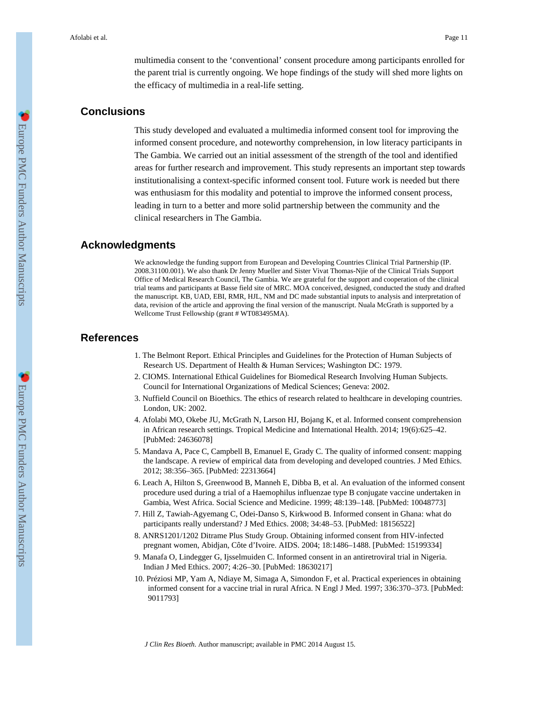multimedia consent to the 'conventional' consent procedure among participants enrolled for the parent trial is currently ongoing. We hope findings of the study will shed more lights on the efficacy of multimedia in a real-life setting.

### **Conclusions**

This study developed and evaluated a multimedia informed consent tool for improving the informed consent procedure, and noteworthy comprehension, in low literacy participants in The Gambia. We carried out an initial assessment of the strength of the tool and identified areas for further research and improvement. This study represents an important step towards institutionalising a context-specific informed consent tool. Future work is needed but there was enthusiasm for this modality and potential to improve the informed consent process, leading in turn to a better and more solid partnership between the community and the clinical researchers in The Gambia.

### **Acknowledgments**

We acknowledge the funding support from European and Developing Countries Clinical Trial Partnership (IP. 2008.31100.001). We also thank Dr Jenny Mueller and Sister Vivat Thomas-Njie of the Clinical Trials Support Office of Medical Research Council, The Gambia. We are grateful for the support and cooperation of the clinical trial teams and participants at Basse field site of MRC. MOA conceived, designed, conducted the study and drafted the manuscript. KB, UAD, EBI, RMR, HJL, NM and DC made substantial inputs to analysis and interpretation of data, revision of the article and approving the final version of the manuscript. Nuala McGrath is supported by a Wellcome Trust Fellowship (grant # WT083495MA).

### **References**

- 1. The Belmont Report. Ethical Principles and Guidelines for the Protection of Human Subjects of Research US. Department of Health & Human Services; Washington DC: 1979.
- 2. CIOMS. International Ethical Guidelines for Biomedical Research Involving Human Subjects. Council for International Organizations of Medical Sciences; Geneva: 2002.
- 3. Nuffield Council on Bioethics. The ethics of research related to healthcare in developing countries. London, UK: 2002.
- 4. Afolabi MO, Okebe JU, McGrath N, Larson HJ, Bojang K, et al. Informed consent comprehension in African research settings. Tropical Medicine and International Health. 2014; 19(6):625–42. [PubMed: 24636078]
- 5. Mandava A, Pace C, Campbell B, Emanuel E, Grady C. The quality of informed consent: mapping the landscape. A review of empirical data from developing and developed countries. J Med Ethics. 2012; 38:356–365. [PubMed: 22313664]
- 6. Leach A, Hilton S, Greenwood B, Manneh E, Dibba B, et al. An evaluation of the informed consent procedure used during a trial of a Haemophilus influenzae type B conjugate vaccine undertaken in Gambia, West Africa. Social Science and Medicine. 1999; 48:139–148. [PubMed: 10048773]
- 7. Hill Z, Tawiah-Agyemang C, Odei-Danso S, Kirkwood B. Informed consent in Ghana: what do participants really understand? J Med Ethics. 2008; 34:48–53. [PubMed: 18156522]
- 8. ANRS1201/1202 Ditrame Plus Study Group. Obtaining informed consent from HIV-infected pregnant women, Abidjan, Côte d'Ivoire. AIDS. 2004; 18:1486–1488. [PubMed: 15199334]
- 9. Manafa O, Lindegger G, Ijsselmuiden C. Informed consent in an antiretroviral trial in Nigeria. Indian J Med Ethics. 2007; 4:26–30. [PubMed: 18630217]
- 10. Préziosi MP, Yam A, Ndiaye M, Simaga A, Simondon F, et al. Practical experiences in obtaining informed consent for a vaccine trial in rural Africa. N Engl J Med. 1997; 336:370–373. [PubMed: 9011793]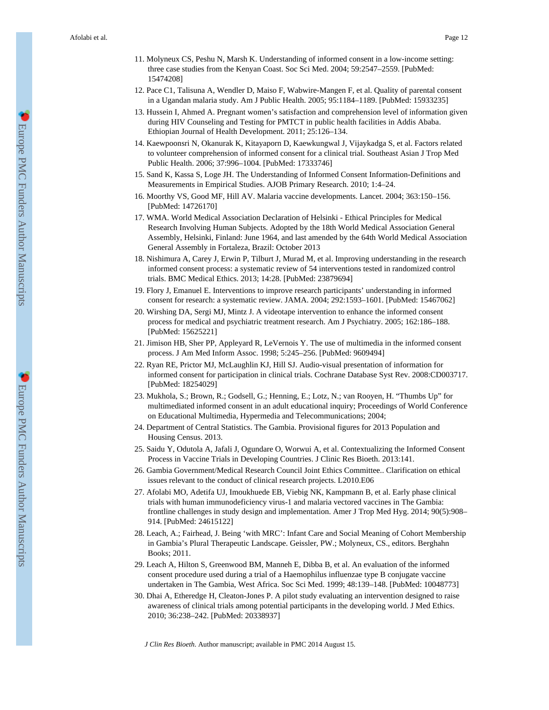- 11. Molyneux CS, Peshu N, Marsh K. Understanding of informed consent in a low-income setting: three case studies from the Kenyan Coast. Soc Sci Med. 2004; 59:2547–2559. [PubMed: 15474208]
- 12. Pace C1, Talisuna A, Wendler D, Maiso F, Wabwire-Mangen F, et al. Quality of parental consent in a Ugandan malaria study. Am J Public Health. 2005; 95:1184–1189. [PubMed: 15933235]
- 13. Hussein I, Ahmed A. Pregnant women's satisfaction and comprehension level of information given during HIV Counseling and Testing for PMTCT in public health facilities in Addis Ababa. Ethiopian Journal of Health Development. 2011; 25:126–134.
- 14. Kaewpoonsri N, Okanurak K, Kitayaporn D, Kaewkungwal J, Vijaykadga S, et al. Factors related to volunteer comprehension of informed consent for a clinical trial. Southeast Asian J Trop Med Public Health. 2006; 37:996–1004. [PubMed: 17333746]
- 15. Sand K, Kassa S, Loge JH. The Understanding of Informed Consent Information-Definitions and Measurements in Empirical Studies. AJOB Primary Research. 2010; 1:4–24.
- 16. Moorthy VS, Good MF, Hill AV. Malaria vaccine developments. Lancet. 2004; 363:150–156. [PubMed: 14726170]
- 17. WMA. World Medical Association Declaration of Helsinki Ethical Principles for Medical Research Involving Human Subjects. Adopted by the 18th World Medical Association General Assembly, Helsinki, Finland: June 1964, and last amended by the 64th World Medical Association General Assembly in Fortaleza, Brazil: October 2013
- 18. Nishimura A, Carey J, Erwin P, Tilburt J, Murad M, et al. Improving understanding in the research informed consent process: a systematic review of 54 interventions tested in randomized control trials. BMC Medical Ethics. 2013; 14:28. [PubMed: 23879694]
- 19. Flory J, Emanuel E. Interventions to improve research participants' understanding in informed consent for research: a systematic review. JAMA. 2004; 292:1593–1601. [PubMed: 15467062]
- 20. Wirshing DA, Sergi MJ, Mintz J. A videotape intervention to enhance the informed consent process for medical and psychiatric treatment research. Am J Psychiatry. 2005; 162:186–188. [PubMed: 15625221]
- 21. Jimison HB, Sher PP, Appleyard R, LeVernois Y. The use of multimedia in the informed consent process. J Am Med Inform Assoc. 1998; 5:245–256. [PubMed: 9609494]
- 22. Ryan RE, Prictor MJ, McLaughlin KJ, Hill SJ. Audio-visual presentation of information for informed consent for participation in clinical trials. Cochrane Database Syst Rev. 2008:CD003717. [PubMed: 18254029]
- 23. Mukhola, S.; Brown, R.; Godsell, G.; Henning, E.; Lotz, N.; van Rooyen, H. "Thumbs Up" for multimediated informed consent in an adult educational inquiry; Proceedings of World Conference on Educational Multimedia, Hypermedia and Telecommunications; 2004;
- 24. Department of Central Statistics. The Gambia. Provisional figures for 2013 Population and Housing Census. 2013.
- 25. Saidu Y, Odutola A, Jafali J, Ogundare O, Worwui A, et al. Contextualizing the Informed Consent Process in Vaccine Trials in Developing Countries. J Clinic Res Bioeth. 2013:141.
- 26. Gambia Government/Medical Research Council Joint Ethics Committee.. Clarification on ethical issues relevant to the conduct of clinical research projects. L2010.E06
- 27. Afolabi MO, Adetifa UJ, Imoukhuede EB, Viebig NK, Kampmann B, et al. Early phase clinical trials with human immunodeficiency virus-1 and malaria vectored vaccines in The Gambia: frontline challenges in study design and implementation. Amer J Trop Med Hyg. 2014; 90(5):908– 914. [PubMed: 24615122]
- 28. Leach, A.; Fairhead, J. Being 'with MRC': Infant Care and Social Meaning of Cohort Membership in Gambia's Plural Therapeutic Landscape. Geissler, PW.; Molyneux, CS., editors. Berghahn Books; 2011.
- 29. Leach A, Hilton S, Greenwood BM, Manneh E, Dibba B, et al. An evaluation of the informed consent procedure used during a trial of a Haemophilus influenzae type B conjugate vaccine undertaken in The Gambia, West Africa. Soc Sci Med. 1999; 48:139–148. [PubMed: 10048773]
- 30. Dhai A, Etheredge H, Cleaton-Jones P. A pilot study evaluating an intervention designed to raise awareness of clinical trials among potential participants in the developing world. J Med Ethics. 2010; 36:238–242. [PubMed: 20338937]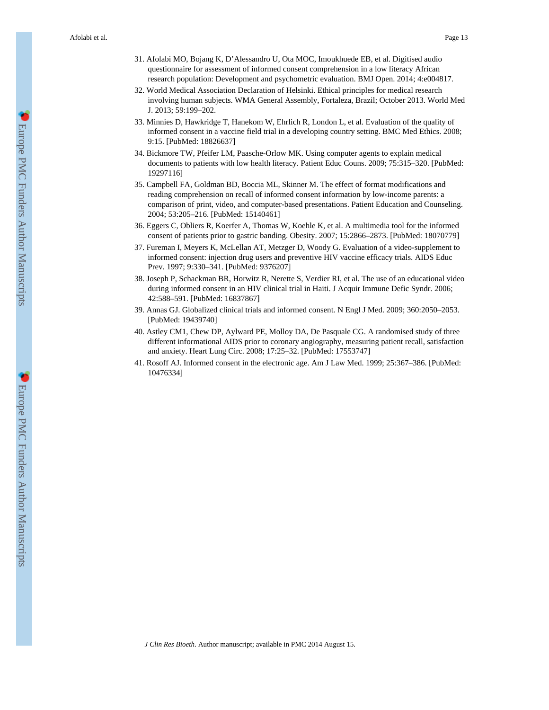- 31. Afolabi MO, Bojang K, D'Alessandro U, Ota MOC, Imoukhuede EB, et al. Digitised audio questionnaire for assessment of informed consent comprehension in a low literacy African research population: Development and psychometric evaluation. BMJ Open. 2014; 4:e004817.
- 32. World Medical Association Declaration of Helsinki. Ethical principles for medical research involving human subjects. WMA General Assembly, Fortaleza, Brazil; October 2013. World Med J. 2013; 59:199–202.
- 33. Minnies D, Hawkridge T, Hanekom W, Ehrlich R, London L, et al. Evaluation of the quality of informed consent in a vaccine field trial in a developing country setting. BMC Med Ethics. 2008; 9:15. [PubMed: 18826637]
- 34. Bickmore TW, Pfeifer LM, Paasche-Orlow MK. Using computer agents to explain medical documents to patients with low health literacy. Patient Educ Couns. 2009; 75:315–320. [PubMed: 19297116]
- 35. Campbell FA, Goldman BD, Boccia ML, Skinner M. The effect of format modifications and reading comprehension on recall of informed consent information by low-income parents: a comparison of print, video, and computer-based presentations. Patient Education and Counseling. 2004; 53:205–216. [PubMed: 15140461]
- 36. Eggers C, Obliers R, Koerfer A, Thomas W, Koehle K, et al. A multimedia tool for the informed consent of patients prior to gastric banding. Obesity. 2007; 15:2866–2873. [PubMed: 18070779]
- 37. Fureman I, Meyers K, McLellan AT, Metzger D, Woody G. Evaluation of a video-supplement to informed consent: injection drug users and preventive HIV vaccine efficacy trials. AIDS Educ Prev. 1997; 9:330–341. [PubMed: 9376207]
- 38. Joseph P, Schackman BR, Horwitz R, Nerette S, Verdier RI, et al. The use of an educational video during informed consent in an HIV clinical trial in Haiti. J Acquir Immune Defic Syndr. 2006; 42:588–591. [PubMed: 16837867]
- 39. Annas GJ. Globalized clinical trials and informed consent. N Engl J Med. 2009; 360:2050–2053. [PubMed: 19439740]
- 40. Astley CM1, Chew DP, Aylward PE, Molloy DA, De Pasquale CG. A randomised study of three different informational AIDS prior to coronary angiography, measuring patient recall, satisfaction and anxiety. Heart Lung Circ. 2008; 17:25–32. [PubMed: 17553747]
- 41. Rosoff AJ. Informed consent in the electronic age. Am J Law Med. 1999; 25:367–386. [PubMed: 10476334]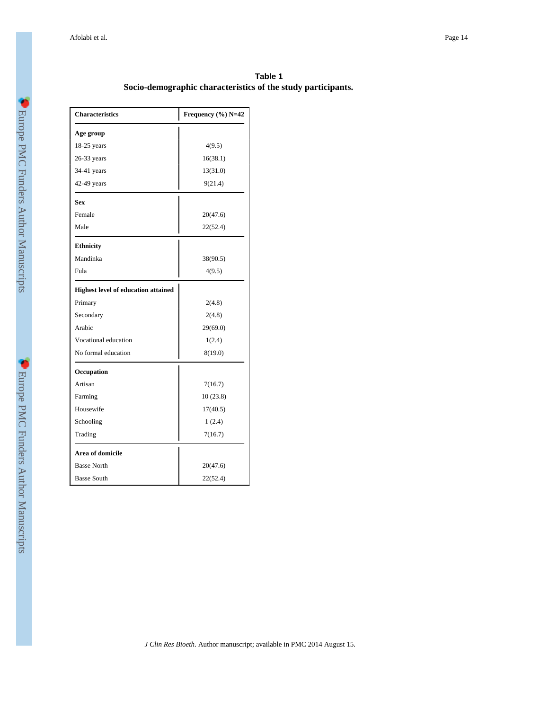|                                                              | Table 1 |  |
|--------------------------------------------------------------|---------|--|
| Socio-demographic characteristics of the study participants. |         |  |

| <b>Characteristics</b>                     | Frequency $(\%)$ N=42 |
|--------------------------------------------|-----------------------|
| Age group                                  |                       |
| $18-25$ years                              | 4(9.5)                |
| $26-33$ years                              | 16(38.1)              |
| $34-41$ years                              | 13(31.0)              |
| 42-49 years                                | 9(21.4)               |
| <b>Sex</b>                                 |                       |
| Female                                     | 20(47.6)              |
| Male                                       | 22(52.4)              |
| <b>Ethnicity</b>                           |                       |
| Mandinka                                   | 38(90.5)              |
| Fula                                       | 4(9.5)                |
| <b>Highest level of education attained</b> |                       |
| Primary                                    | 2(4.8)                |
| Secondary                                  | 2(4.8)                |
| Arabic                                     | 29(69.0)              |
| Vocational education                       | 1(2.4)                |
| No formal education                        | 8(19.0)               |
| Occupation                                 |                       |
| Artisan                                    | 7(16.7)               |
| Farming                                    | 10(23.8)              |
| Housewife                                  | 17(40.5)              |
| Schooling                                  | 1(2.4)                |
| Trading                                    | 7(16.7)               |
| <b>Area of domicile</b>                    |                       |
| <b>Basse North</b>                         | 20(47.6)              |
| <b>Basse South</b>                         | 22(52.4)              |

Europe PMC Funders Author Manuscripts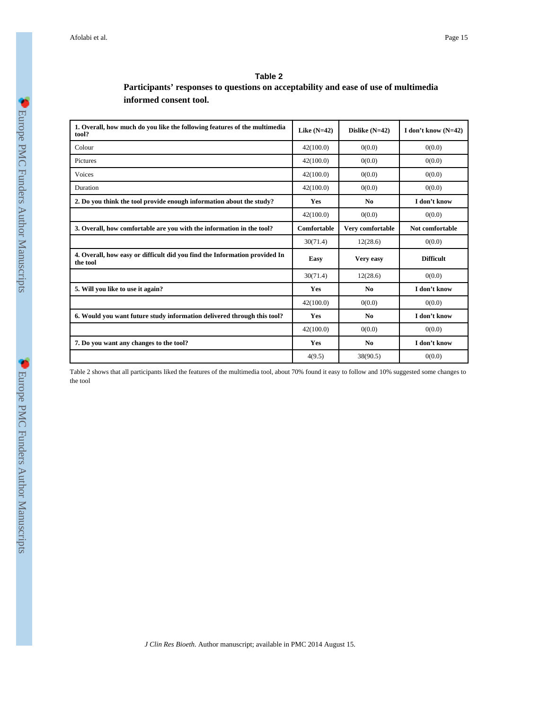#### **Table 2**

### **Participants' responses to questions on acceptability and ease of use of multimedia informed consent tool.**

| 1. Overall, how much do you like the following features of the multimedia<br>tool?     | Like $(N=42)$ | Dislike $(N=42)$ | I don't know $(N=42)$ |
|----------------------------------------------------------------------------------------|---------------|------------------|-----------------------|
| Colour                                                                                 | 42(100.0)     | 0(0.0)           | 0(0.0)                |
| <b>Pictures</b>                                                                        | 42(100.0)     | 0(0.0)           | 0(0.0)                |
| Voices                                                                                 | 42(100.0)     | 0(0.0)           | 0(0.0)                |
| Duration                                                                               | 42(100.0)     | 0(0.0)           | 0(0.0)                |
| 2. Do you think the tool provide enough information about the study?                   | Yes           | N <sub>0</sub>   | I don't know          |
|                                                                                        | 42(100.0)     | 0(0.0)           | 0(0.0)                |
| 3. Overall, how comfortable are you with the information in the tool?                  | Comfortable   | Very comfortable | Not comfortable       |
|                                                                                        | 30(71.4)      | 12(28.6)         | 0(0.0)                |
| 4. Overall, how easy or difficult did you find the Information provided In<br>the tool | Easy          | Very easy        | <b>Difficult</b>      |
|                                                                                        | 30(71.4)      | 12(28.6)         | 0(0.0)                |
| 5. Will you like to use it again?                                                      | Yes           | N <sub>0</sub>   | I don't know          |
|                                                                                        | 42(100.0)     | 0(0.0)           | 0(0.0)                |
| 6. Would you want future study information delivered through this tool?                | Yes           | N <sub>0</sub>   | I don't know          |
|                                                                                        | 42(100.0)     | 0(0.0)           | 0(0.0)                |
| 7. Do you want any changes to the tool?                                                | Yes           | N <sub>0</sub>   | I don't know          |
|                                                                                        | 4(9.5)        | 38(90.5)         | 0(0.0)                |

Table 2 shows that all participants liked the features of the multimedia tool, about 70% found it easy to follow and 10% suggested some changes to the tool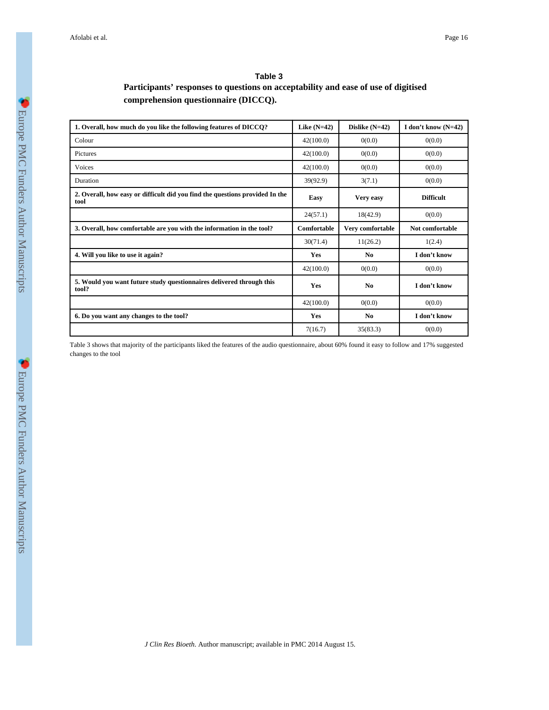| ı<br>. .<br>٧ |  |
|---------------|--|
|---------------|--|

# **Participants' responses to questions on acceptability and ease of use of digitised comprehension questionnaire (DICCQ).**

| 1. Overall, how much do you like the following features of DICCQ?                    | Like $(N=42)$ | Dislike $(N=42)$ | I don't know $(N=42)$ |
|--------------------------------------------------------------------------------------|---------------|------------------|-----------------------|
| Colour                                                                               | 42(100.0)     | 0(0.0)           | 0(0.0)                |
| Pictures                                                                             | 42(100.0)     | 0(0.0)           | 0(0.0)                |
| Voices                                                                               | 42(100.0)     | 0(0.0)           | 0(0.0)                |
| Duration                                                                             | 39(92.9)      | 3(7.1)           | 0(0.0)                |
| 2. Overall, how easy or difficult did you find the questions provided In the<br>tool | Easy          | Very easy        | <b>Difficult</b>      |
|                                                                                      | 24(57.1)      | 18(42.9)         | 0(0.0)                |
| 3. Overall, how comfortable are you with the information in the tool?                | Comfortable   | Very comfortable | Not comfortable       |
|                                                                                      | 30(71.4)      | 11(26.2)         | 1(2.4)                |
| 4. Will you like to use it again?                                                    | Yes           | No.              | I don't know          |
|                                                                                      | 42(100.0)     | 0(0.0)           | 0(0.0)                |
| 5. Would you want future study questionnaires delivered through this<br>tool?        | Yes           | N <sub>0</sub>   | I don't know          |
|                                                                                      | 42(100.0)     | 0(0.0)           | 0(0.0)                |
| 6. Do you want any changes to the tool?                                              | Yes           | No.              | I don't know          |
|                                                                                      | 7(16.7)       | 35(83.3)         | 0(0.0)                |

Table 3 shows that majority of the participants liked the features of the audio questionnaire, about 60% found it easy to follow and 17% suggested changes to the tool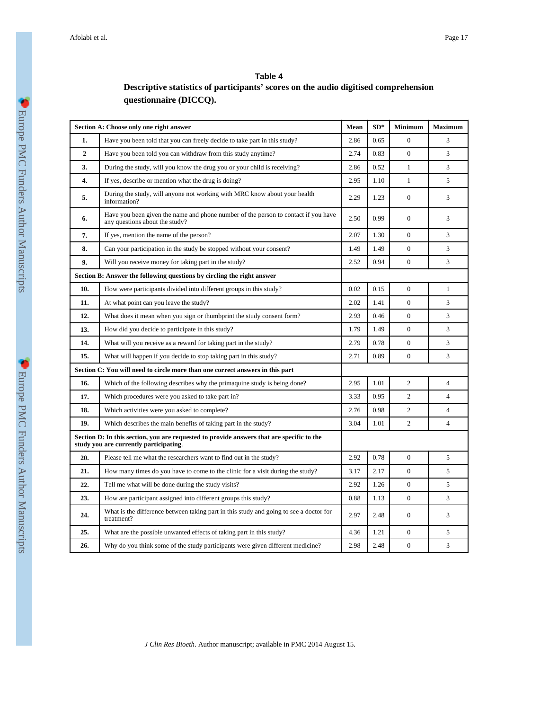### **Table 4**

# **Descriptive statistics of participants' scores on the audio digitised comprehension questionnaire (DICCQ).**

|                                                                                                                                     | Section A: Choose only one right answer                                                                              | Mean | $SD*$ | <b>Minimum</b>   | <b>Maximum</b> |
|-------------------------------------------------------------------------------------------------------------------------------------|----------------------------------------------------------------------------------------------------------------------|------|-------|------------------|----------------|
| 1.                                                                                                                                  | Have you been told that you can freely decide to take part in this study?                                            | 2.86 | 0.65  | $\mathbf{0}$     | 3              |
| $\overline{2}$                                                                                                                      | Have you been told you can withdraw from this study anytime?                                                         | 2.74 | 0.83  | $\mathbf{0}$     | 3              |
| 3.                                                                                                                                  | During the study, will you know the drug you or your child is receiving?                                             | 2.86 | 0.52  | 1                | 3              |
| 4.                                                                                                                                  | If yes, describe or mention what the drug is doing?                                                                  | 2.95 | 1.10  | $\mathbf{1}$     | 5              |
| 5.                                                                                                                                  | During the study, will anyone not working with MRC know about your health<br>information?                            | 2.29 | 1.23  | $\mathbf{0}$     | 3              |
| 6.                                                                                                                                  | Have you been given the name and phone number of the person to contact if you have<br>any questions about the study? | 2.50 | 0.99  | $\boldsymbol{0}$ | 3              |
| 7.                                                                                                                                  | If yes, mention the name of the person?                                                                              | 2.07 | 1.30  | $\Omega$         | 3              |
| 8.                                                                                                                                  | Can your participation in the study be stopped without your consent?                                                 | 1.49 | 1.49  | $\overline{0}$   | 3              |
| 9.                                                                                                                                  | Will you receive money for taking part in the study?                                                                 | 2.52 | 0.94  | $\overline{0}$   | 3              |
|                                                                                                                                     | Section B: Answer the following questions by circling the right answer                                               |      |       |                  |                |
| 10.                                                                                                                                 | How were participants divided into different groups in this study?                                                   | 0.02 | 0.15  | $\mathbf{0}$     | $\mathbf{1}$   |
| 11.                                                                                                                                 | At what point can you leave the study?                                                                               | 2.02 | 1.41  | $\mathbf{0}$     | 3              |
| 12.                                                                                                                                 | What does it mean when you sign or thumbprint the study consent form?                                                | 2.93 | 0.46  | $\mathbf{0}$     | 3              |
| 13.                                                                                                                                 | How did you decide to participate in this study?                                                                     | 1.79 | 1.49  | $\mathbf{0}$     | 3              |
| 14.                                                                                                                                 | What will you receive as a reward for taking part in the study?                                                      | 2.79 | 0.78  | $\boldsymbol{0}$ | 3              |
| 15.                                                                                                                                 | What will happen if you decide to stop taking part in this study?                                                    | 2.71 | 0.89  | $\overline{0}$   | 3              |
|                                                                                                                                     | Section C: You will need to circle more than one correct answers in this part                                        |      |       |                  |                |
| 16.                                                                                                                                 | Which of the following describes why the primaquine study is being done?                                             | 2.95 | 1.01  | $\overline{c}$   | 4              |
| 17.                                                                                                                                 | Which procedures were you asked to take part in?                                                                     | 3.33 | 0.95  | $\overline{2}$   | $\overline{4}$ |
| 18.                                                                                                                                 | Which activities were you asked to complete?                                                                         | 2.76 | 0.98  | 2                | $\overline{4}$ |
| 19.                                                                                                                                 | Which describes the main benefits of taking part in the study?                                                       | 3.04 | 1.01  | $\overline{2}$   | $\overline{4}$ |
| Section D: In this section, you are requested to provide answers that are specific to the<br>study you are currently participating. |                                                                                                                      |      |       |                  |                |
| 20.                                                                                                                                 | Please tell me what the researchers want to find out in the study?                                                   | 2.92 | 0.78  | $\boldsymbol{0}$ | 5              |
| 21.                                                                                                                                 | How many times do you have to come to the clinic for a visit during the study?                                       | 3.17 | 2.17  | $\Omega$         | 5              |
| 22.                                                                                                                                 | Tell me what will be done during the study visits?                                                                   | 2.92 | 1.26  | $\Omega$         | 5              |
| 23.                                                                                                                                 | How are participant assigned into different groups this study?                                                       | 0.88 | 1.13  | $\overline{0}$   | 3              |
| 24.                                                                                                                                 | What is the difference between taking part in this study and going to see a doctor for<br>treatment?                 | 2.97 | 2.48  | $\mathbf{0}$     | 3              |
| 25.                                                                                                                                 | What are the possible unwanted effects of taking part in this study?                                                 | 4.36 | 1.21  | $\boldsymbol{0}$ | 5              |
| 26.                                                                                                                                 | Why do you think some of the study participants were given different medicine?                                       | 2.98 | 2.48  | $\boldsymbol{0}$ | 3              |